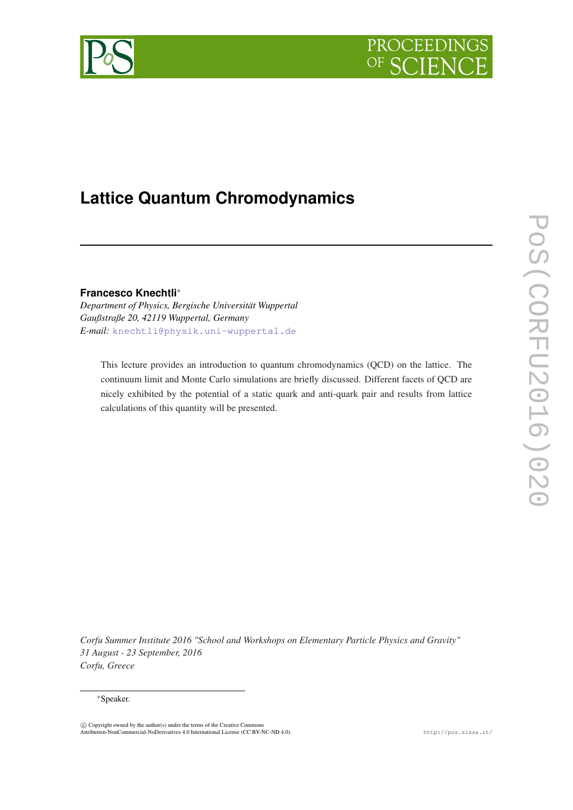



# **Lattice Quantum Chromodynamics**

**Francesco Knechtli**∗

*Department of Physics, Bergische Universität Wuppertal Gaußstraße 20, 42119 Wuppertal, Germany E-mail:* [knechtli@physik.uni-wuppertal.de](mailto:knechtli@physik.uni-wuppertal.de)

This lecture provides an introduction to quantum chromodynamics (QCD) on the lattice. The continuum limit and Monte Carlo simulations are briefly discussed. Different facets of QCD are nicely exhibited by the potential of a static quark and anti-quark pair and results from lattice calculations of this quantity will be presented.

*Corfu Summer Institute 2016 "School and Workshops on Elementary Particle Physics and Gravity" 31 August - 23 September, 2016 Corfu, Greece*

## ∗Speaker.

 $\odot$  Copyright owned by the author(s) under the terms of the Creative Commons Attribution-NonCommercial-NoDerivatives 4.0 International License (CC BY-NC-ND 4.0). http://pos.sissa.it/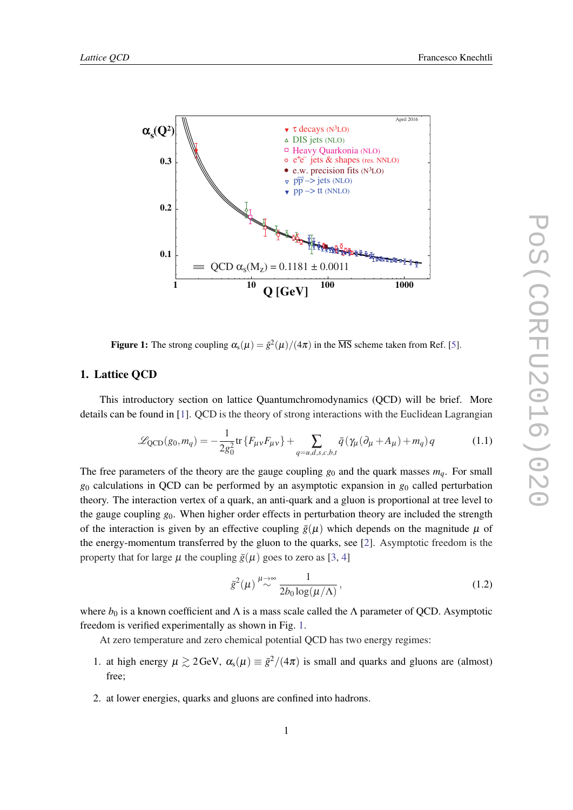

**Figure 1:** The strong coupling  $\alpha_s(\mu) = \bar{g}^2(\mu)/(4\pi)$  in the  $\overline{MS}$  scheme taken from Ref. [\[5](#page-12-0)].

# 1. Lattice QCD

This introductory section on lattice Quantumchromodynamics (QCD) will be brief. More details can be found in [\[1\]](#page-12-0). QCD is the theory of strong interactions with the Euclidean Lagrangian

$$
\mathcal{L}_{\text{QCD}}(g_0, m_q) = -\frac{1}{2g_0^2} \text{tr}\left\{ F_{\mu\nu} F_{\mu\nu} \right\} + \sum_{q=u,d,s,c,b,t} \bar{q} \left( \gamma_\mu (\partial_\mu + A_\mu) + m_q \right) q \tag{1.1}
$$

The free parameters of the theory are the gauge coupling  $g_0$  and the quark masses  $m_q$ . For small *g*<sup>0</sup> calculations in QCD can be performed by an asymptotic expansion in *g*<sup>0</sup> called perturbation theory. The interaction vertex of a quark, an anti-quark and a gluon is proportional at tree level to the gauge coupling *g*0. When higher order effects in perturbation theory are included the strength of the interaction is given by an effective coupling  $\bar{g}(\mu)$  which depends on the magnitude  $\mu$  of the energy-momentum transferred by the gluon to the quarks, see [\[2\]](#page-12-0). Asymptotic freedom is the property that for large  $\mu$  the coupling  $\bar{g}(\mu)$  goes to zero as [\[3,](#page-12-0) [4](#page-12-0)]

$$
\bar{g}^2(\mu) \stackrel{\mu \to \infty}{\sim} \frac{1}{2b_0 \log(\mu/\Lambda)},
$$
\n(1.2)

where  $b_0$  is a known coefficient and  $\Lambda$  is a mass scale called the  $\Lambda$  parameter of QCD. Asymptotic freedom is verified experimentally as shown in Fig. 1.

At zero temperature and zero chemical potential QCD has two energy regimes:

- 1. at high energy  $\mu \gtrsim 2 \text{GeV}$ ,  $\alpha_s(\mu) \equiv \bar{g}^2/(4\pi)$  is small and quarks and gluons are (almost) free;
- 2. at lower energies, quarks and gluons are confined into hadrons.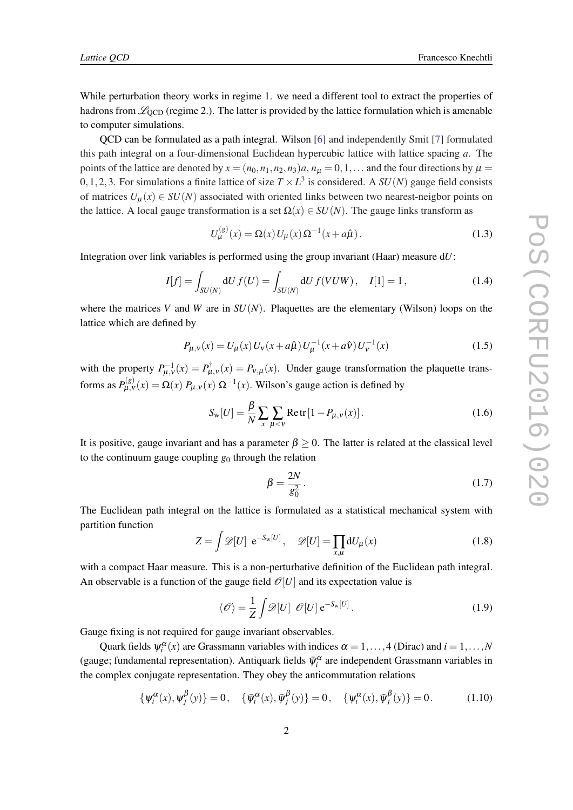<span id="page-2-0"></span>While perturbation theory works in regime 1. we need a different tool to extract the properties of hadrons from  $\mathscr{L}_{\text{OCD}}$  (regime 2.). The latter is provided by the lattice formulation which is amenable to computer simulations.

QCD can be formulated as a path integral. Wilson [[6](#page-12-0)] and independently Smit [\[7\]](#page-12-0) formulated this path integral on a four-dimensional Euclidean hypercubic lattice with lattice spacing *a*. The points of the lattice are denoted by  $x = (n_0, n_1, n_2, n_3)a$ ,  $n_\mu = 0, 1, \ldots$  and the four directions by  $\mu =$ 0, 1, 2, 3. For simulations a finite lattice of size  $T \times L^3$  is considered. A  $SU(N)$  gauge field consists of matrices  $U_{\mu}(x) \in SU(N)$  associated with oriented links between two nearest-neigbor points on the lattice. A local gauge transformation is a set  $\Omega(x) \in SU(N)$ . The gauge links transform as

$$
U_{\mu}^{(g)}(x) = \Omega(x) U_{\mu}(x) \Omega^{-1}(x + a\hat{\mu}).
$$
\n(1.3)

Integration over link variables is performed using the group invariant (Haar) measure d*U*:

$$
I[f] = \int_{SU(N)} dU f(U) = \int_{SU(N)} dU f(VUW), \quad I[1] = 1,
$$
\n(1.4)

where the matrices *V* and *W* are in  $SU(N)$ . Plaquettes are the elementary (Wilson) loops on the lattice which are defined by

$$
P_{\mu,\nu}(x) = U_{\mu}(x)U_{\nu}(x+a\hat{\mu})U_{\mu}^{-1}(x+a\hat{\nu})U_{\nu}^{-1}(x)
$$
\n(1.5)

with the property  $P_{\mu,\nu}^{-1}(x) = P_{\mu,\nu}^{\dagger}(x) = P_{\nu,\mu}(x)$ . Under gauge transformation the plaquette transforms as  $P_{\mu,\nu}^{(g)}(x) = \Omega(x) P_{\mu,\nu}(x) \Omega^{-1}(x)$ . Wilson's gauge action is defined by

$$
S_{\rm w}[U] = \frac{\beta}{N} \sum_{x} \sum_{\mu < v} \text{Retr} \left[ 1 - P_{\mu, v}(x) \right]. \tag{1.6}
$$

It is positive, gauge invariant and has a parameter  $\beta \geq 0$ . The latter is related at the classical level to the continuum gauge coupling  $g_0$  through the relation

$$
\beta = \frac{2N}{g_0^2}.\tag{1.7}
$$

The Euclidean path integral on the lattice is formulated as a statistical mechanical system with partition function

$$
Z = \int \mathscr{D}[U] \ e^{-S_{\rm w}[U]}, \quad \mathscr{D}[U] = \prod_{x,\mu} \mathrm{d}U_{\mu}(x) \tag{1.8}
$$

with a compact Haar measure. This is a non-perturbative definition of the Euclidean path integral. An observable is a function of the gauge field  $\mathcal{O}[U]$  and its expectation value is

$$
\langle \mathcal{O} \rangle = \frac{1}{Z} \int \mathcal{D}[U] \mathcal{O}[U] e^{-S_{\mathbf{w}}[U]}.
$$
 (1.9)

Gauge fixing is not required for gauge invariant observables.

Quark fields  $\psi_i^{\alpha}(x)$  are Grassmann variables with indices  $\alpha = 1, ..., 4$  (Dirac) and  $i = 1, ..., N$ (gauge; fundamental representation). Antiquark fields  $\bar{\psi}_i^{\alpha}$  are independent Grassmann variables in the complex conjugate representation. They obey the anticommutation relations

$$
\{\psi_i^{\alpha}(x), \psi_j^{\beta}(y)\} = 0, \quad \{\bar{\psi}_i^{\alpha}(x), \bar{\psi}_j^{\beta}(y)\} = 0, \quad \{\psi_i^{\alpha}(x), \bar{\psi}_j^{\beta}(y)\} = 0. \tag{1.10}
$$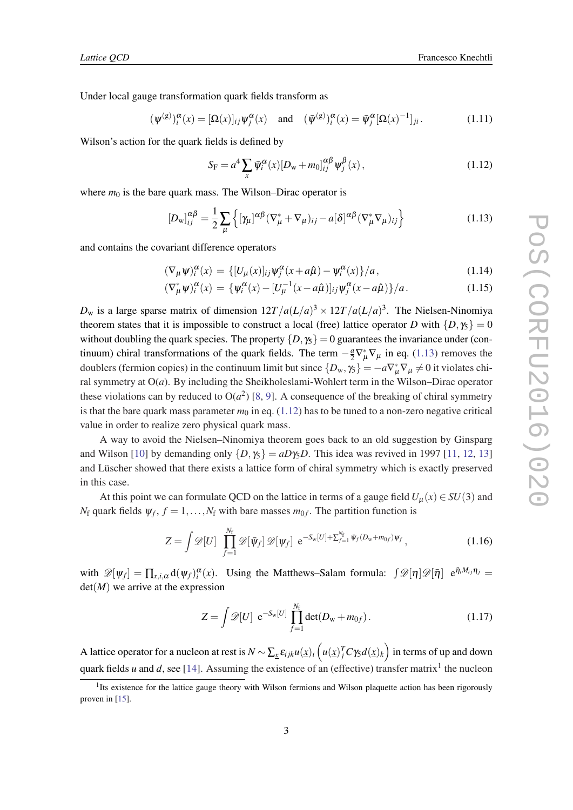Under local gauge transformation quark fields transform as

$$
(\psi^{(g)})_i^{\alpha}(x) = [\Omega(x)]_{ij}\psi_j^{\alpha}(x) \quad \text{and} \quad (\bar{\psi}^{(g)})_i^{\alpha}(x) = \bar{\psi}_j^{\alpha}[\Omega(x)^{-1}]_{ji}.
$$
 (1.11)

Wilson's action for the quark fields is defined by

$$
S_{\rm F} = a^4 \sum_{x} \bar{\psi}_i^{\alpha}(x) [D_{\rm w} + m_0]_{ij}^{\alpha \beta} \psi_j^{\beta}(x) , \qquad (1.12)
$$

where  $m_0$  is the bare quark mass. The Wilson–Dirac operator is

$$
[D_{\mathbf{w}}]_{ij}^{\alpha\beta} = \frac{1}{2} \sum_{\mu} \left\{ [\gamma_{\mu}]^{\alpha\beta} (\nabla_{\mu}^* + \nabla_{\mu})_{ij} - a[\delta]^{\alpha\beta} (\nabla_{\mu}^* \nabla_{\mu})_{ij} \right\}
$$
(1.13)

and contains the covariant difference operators

$$
(\nabla_{\mu}\psi)^{\alpha}_{i}(x) = \{ [U_{\mu}(x)]_{ij}\psi^{\alpha}_{j}(x+a\hat{\mu}) - \psi^{\alpha}_{i}(x) \}/a, \qquad (1.14)
$$

$$
(\nabla_{\mu}^{*}\psi)^{\alpha}_{i}(x) = \{\psi^{\alpha}_{i}(x) - [U_{\mu}^{-1}(x - a\hat{\mu})]_{ij}\psi^{\alpha}_{j}(x - a\hat{\mu})\}/a.
$$
 (1.15)

 $D_{\rm w}$  is a large sparse matrix of dimension  $12T/a(L/a)^3 \times 12T/a(L/a)^3$ . The Nielsen-Ninomiya theorem states that it is impossible to construct a local (free) lattice operator *D* with  $\{D, \gamma_5\} = 0$ without doubling the quark species. The property  $\{D, \gamma_5\} = 0$  guarantees the invariance under (continuum) chiral transformations of the quark fields. The term  $-\frac{a}{2}\nabla^*_{\mu}\nabla_{\mu}$  in eq. (1.13) removes the doublers (fermion copies) in the continuum limit but since  $\{D_w, \gamma_5\} = -a\nabla^*_{\mu}\nabla_{\mu} \neq 0$  it violates chiral symmetry at O(*a*). By including the Sheikholeslami-Wohlert term in the Wilson–Dirac operator these violations can by reduced to  $O(a^2)$  [\[8,](#page-13-0) [9\]](#page-13-0). A consequence of the breaking of chiral symmetry is that the bare quark mass parameter  $m_0$  in eq. (1.12) has to be tuned to a non-zero negative critical value in order to realize zero physical quark mass.

A way to avoid the Nielsen–Ninomiya theorem goes back to an old suggestion by Ginsparg and Wilson [[10](#page-13-0)] by demanding only  $\{D, \gamma_5\} = aD\gamma_5D$ . This idea was revived in 1997 [\[11](#page-13-0), [12,](#page-13-0) [13](#page-13-0)] and Lüscher showed that there exists a lattice form of chiral symmetry which is exactly preserved in this case.

At this point we can formulate QCD on the lattice in terms of a gauge field  $U_{\mu}(x) \in SU(3)$  and *N*<sub>f</sub> quark fields  $\psi_f$ ,  $f = 1, \ldots, N_f$  with bare masses  $m_{0f}$ . The partition function is

$$
Z = \int \mathscr{D}[U] \prod_{f=1}^{N_{\rm f}} \mathscr{D}[\bar{\psi}_f] \mathscr{D}[\psi_f] e^{-S_{\rm w}[U] + \sum_{f=1}^{N_{\rm f}} \bar{\psi}_f(D_{\rm w} + m_{0f})\psi_f}, \qquad (1.16)
$$

with  $\mathscr{D}[\psi_f] = \prod_{x,i,\alpha} d(\psi_f)^\alpha_i(x)$ . Using the Matthews–Salam formula:  $\int \mathscr{D}[\eta] \mathscr{D}[\bar{\eta}] e^{\bar{\eta}_i M_{ij} \eta_j} =$  $det(M)$  we arrive at the expression

$$
Z = \int \mathscr{D}[U] \ e^{-S_{\rm w}[U]} \prod_{f=1}^{N_{\rm f}} \det(D_{\rm w} + m_{0f}). \tag{1.17}
$$

A lattice operator for a nucleon at rest is  $N$  ∼  $\sum_{\underline{x}} \pmb{\varepsilon}_{ijk}u(\underline{x})_i\left(u(\underline{x})_j^T C\gamma_5 d(\underline{x})_k\right)$  in terms of up and down quark fields *u* and *d*, see [[14\]](#page-13-0). Assuming the existence of an (effective) transfer matrix<sup>1</sup> the nucleon

<sup>&</sup>lt;sup>1</sup>Its existence for the lattice gauge theory with Wilson fermions and Wilson plaquette action has been rigorously proven in [\[15](#page-13-0)].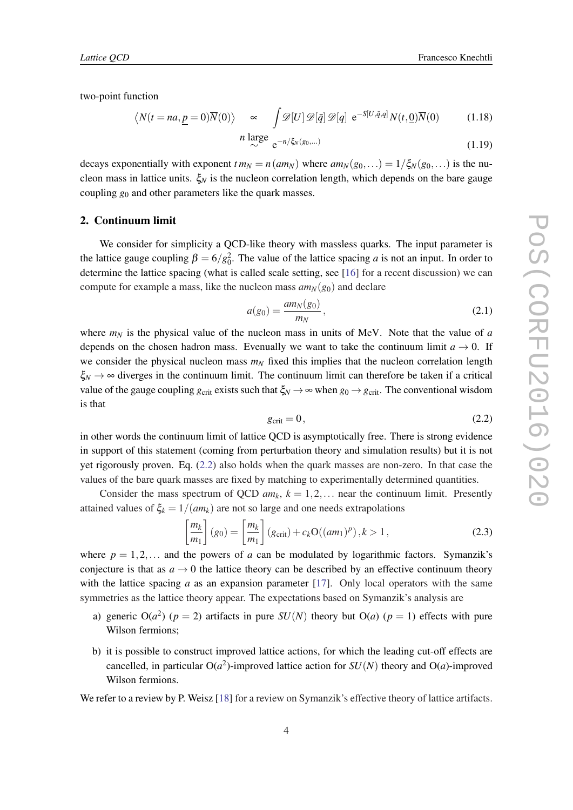*Lattice QCD* Francesco Knechtli

two-point function

$$
\langle N(t = na, \underline{p} = 0) \overline{N}(0) \rangle \approx \int \mathcal{D}[U] \mathcal{D}[\bar{q}] \mathcal{D}[q] e^{-S[U, \bar{q}, q]} N(t, \underline{0}) \overline{N}(0) \qquad (1.18)
$$
  
\n*n* large

$$
\frac{\text{large}}{\sim} \, \mathrm{e}^{-n/\xi_N(g_0, \ldots)} \tag{1.19}
$$

decays exponentially with exponent  $t m_N = n (am_N)$  where  $am_N(g_0,...) = 1/\xi_N(g_0,...)$  is the nucleon mass in lattice units.  $\xi_N$  is the nucleon correlation length, which depends on the bare gauge coupling *g*<sup>0</sup> and other parameters like the quark masses.

#### 2. Continuum limit

We consider for simplicity a QCD-like theory with massless quarks. The input parameter is the lattice gauge coupling  $\beta = 6/g_0^2$ . The value of the lattice spacing *a* is not an input. In order to determine the lattice spacing (what is called scale setting, see [[16\]](#page-13-0) for a recent discussion) we can compute for example a mass, like the nucleon mass  $am_N(g_0)$  and declare

$$
a(g_0) = \frac{am_N(g_0)}{m_N},
$$
\n(2.1)

where  $m_N$  is the physical value of the nucleon mass in units of MeV. Note that the value of *a* depends on the chosen hadron mass. Evenually we want to take the continuum limit  $a \to 0$ . If we consider the physical nucleon mass  $m<sub>N</sub>$  fixed this implies that the nucleon correlation length  $\xi_N \to \infty$  diverges in the continuum limit. The continuum limit can therefore be taken if a critical value of the gauge coupling  $g_{\text{crit}}$  exists such that  $\xi_N \to \infty$  when  $g_0 \to g_{\text{crit}}$ . The conventional wisdom is that

$$
g_{\rm crit} = 0, \tag{2.2}
$$

in other words the continuum limit of lattice QCD is asymptotically free. There is strong evidence in support of this statement (coming from perturbation theory and simulation results) but it is not yet rigorously proven. Eq. (2.2) also holds when the quark masses are non-zero. In that case the values of the bare quark masses are fixed by matching to experimentally determined quantities.

Consider the mass spectrum of QCD  $am_k$ ,  $k = 1, 2, \ldots$  near the continuum limit. Presently attained values of  $\xi_k = 1/(am_k)$  are not so large and one needs extrapolations

$$
\left[\frac{m_k}{m_1}\right](g_0) = \left[\frac{m_k}{m_1}\right](g_{\text{crit}}) + c_k O((am_1)^p), k > 1,
$$
\n(2.3)

where  $p = 1, 2, \ldots$  and the powers of *a* can be modulated by logarithmic factors. Symanzik's conjecture is that as  $a \to 0$  the lattice theory can be described by an effective continuum theory with the lattice spacing *a* as an expansion parameter [\[17](#page-13-0)]. Only local operators with the same symmetries as the lattice theory appear. The expectations based on Symanzik's analysis are

- a) generic  $O(a^2)$  ( $p = 2$ ) artifacts in pure  $SU(N)$  theory but  $O(a)$  ( $p = 1$ ) effects with pure Wilson fermions;
- b) it is possible to construct improved lattice actions, for which the leading cut-off effects are cancelled, in particular  $O(a^2)$ -improved lattice action for  $SU(N)$  theory and  $O(a)$ -improved Wilson fermions.

We refer to a review by P. Weisz [\[18](#page-13-0)] for a review on Symanzik's effective theory of lattice artifacts.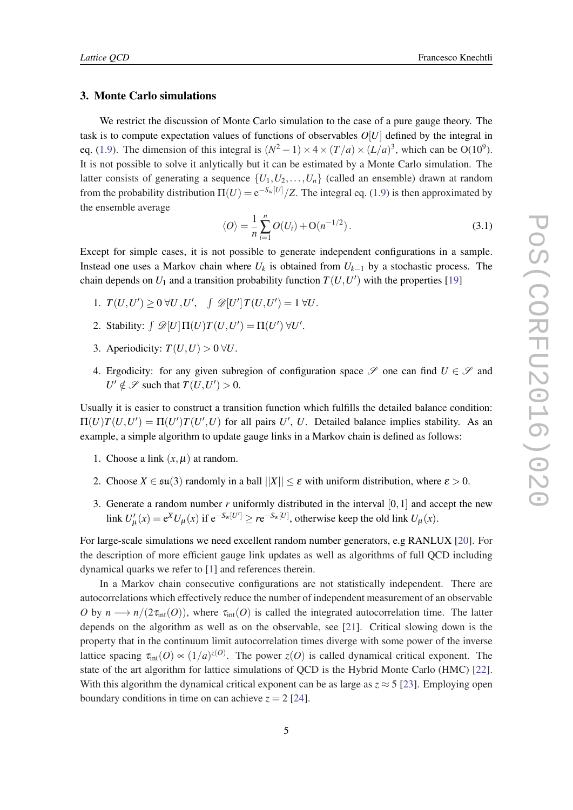# 3. Monte Carlo simulations

We restrict the discussion of Monte Carlo simulation to the case of a pure gauge theory. The task is to compute expectation values of functions of observables *O*[*U*] defined by the integral in eq. [\(1.9\)](#page-2-0). The dimension of this integral is  $(N^2 - 1) \times 4 \times (T/a) \times (L/a)^3$ , which can be O(10<sup>9</sup>). It is not possible to solve it anlytically but it can be estimated by a Monte Carlo simulation. The latter consists of generating a sequence  $\{U_1, U_2, \ldots, U_n\}$  (called an ensemble) drawn at random from the probability distribution  $\Pi(U) = e^{-S_w[U]} / Z$ . The integral eq. ([1.9](#page-2-0)) is then approximated by the ensemble average

$$
\langle O \rangle = \frac{1}{n} \sum_{i=1}^{n} O(U_i) + O(n^{-1/2}).
$$
\n(3.1)

Except for simple cases, it is not possible to generate independent configurations in a sample. Instead one uses a Markov chain where  $U_k$  is obtained from  $U_{k-1}$  by a stochastic process. The chain depends on  $U_1$  and a transition probability function  $T(U, U')$  with the properties [[19\]](#page-13-0)

- 1.  $T(U, U') \ge 0 \ \forall U, U', \quad \int \mathcal{D}[U'] T(U, U') = 1 \ \forall U.$
- 2. Stability:  $\int \mathcal{D}[U] \Pi(U) T(U, U') = \Pi(U') \ \forall U'.$
- 3. Aperiodicity:  $T(U, U) > 0 \,\forall U$ .
- 4. Ergodicity: for any given subregion of configuration space  $\mathscr S$  one can find  $U \in \mathscr S$  and  $U' \notin \mathscr{S}$  such that  $T(U, U') > 0$ .

Usually it is easier to construct a transition function which fulfills the detailed balance condition:  $\Pi(U)T(U, U') = \Pi(U')T(U', U)$  for all pairs *U'*, *U*. Detailed balance implies stability. As an example, a simple algorithm to update gauge links in a Markov chain is defined as follows:

- 1. Choose a link  $(x, \mu)$  at random.
- 2. Choose  $X \in \mathfrak{su}(3)$  randomly in a ball  $||X|| \leq \varepsilon$  with uniform distribution, where  $\varepsilon > 0$ .
- 3. Generate a random number  $r$  uniformly distributed in the interval  $[0,1]$  and accept the new link  $U'_{\mu}(x) = e^X U_{\mu}(x)$  if  $e^{-S_w[U']} \geq re^{-S_w[U]}$ , otherwise keep the old link  $U_{\mu}(x)$ .

For large-scale simulations we need excellent random number generators, e.g RANLUX [\[20\]](#page-13-0). For the description of more efficient gauge link updates as well as algorithms of full QCD including dynamical quarks we refer to [[1](#page-12-0)] and references therein.

In a Markov chain consecutive configurations are not statistically independent. There are autocorrelations which effectively reduce the number of independent measurement of an observable *O* by  $n \longrightarrow n/(2\tau_{int}(O))$ , where  $\tau_{int}(O)$  is called the integrated autocorrelation time. The latter depends on the algorithm as well as on the observable, see [\[21](#page-13-0)]. Critical slowing down is the property that in the continuum limit autocorrelation times diverge with some power of the inverse lattice spacing  $\tau_{\text{int}}(O) \propto (1/a)^{z(O)}$ . The power  $z(O)$  is called dynamical critical exponent. The state of the art algorithm for lattice simulations of QCD is the Hybrid Monte Carlo (HMC) [[22\]](#page-13-0). With this algorithm the dynamical critical exponent can be as large as  $z \approx 5$  [[23\]](#page-13-0). Employing open boundary conditions in time on can achieve  $z = 2$  [\[24](#page-13-0)].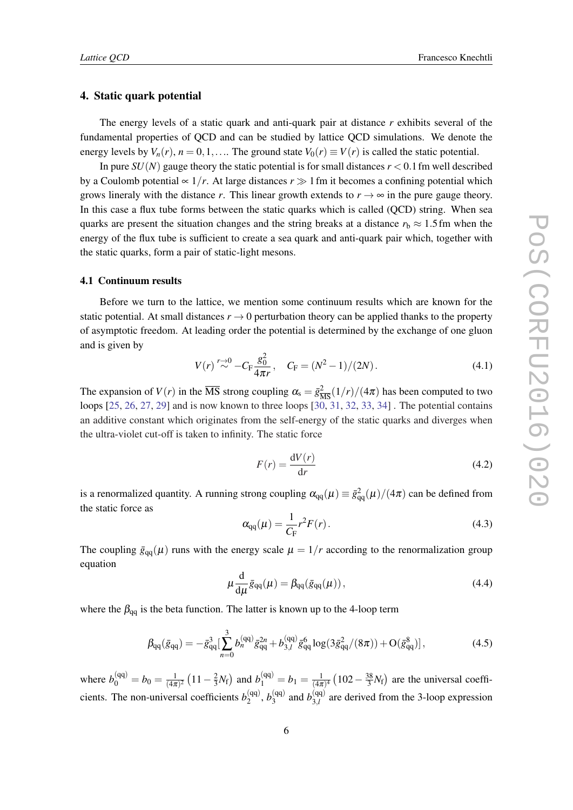## <span id="page-6-0"></span>4. Static quark potential

The energy levels of a static quark and anti-quark pair at distance *r* exhibits several of the fundamental properties of QCD and can be studied by lattice QCD simulations. We denote the energy levels by  $V_n(r)$ ,  $n = 0, 1, \ldots$  The ground state  $V_0(r) \equiv V(r)$  is called the static potential.

In pure  $SU(N)$  gauge theory the static potential is for small distances  $r < 0.1$  fm well described by a Coulomb potential ∝  $1/r$ . At large distances  $r \gg 1$  fm it becomes a confining potential which grows lineraly with the distance *r*. This linear growth extends to  $r \rightarrow \infty$  in the pure gauge theory. In this case a flux tube forms between the static quarks which is called (QCD) string. When sea quarks are present the situation changes and the string breaks at a distance  $r<sub>b</sub> \approx 1.5$  fm when the energy of the flux tube is sufficient to create a sea quark and anti-quark pair which, together with the static quarks, form a pair of static-light mesons.

### 4.1 Continuum results

Before we turn to the lattice, we mention some continuum results which are known for the static potential. At small distances  $r \rightarrow 0$  perturbation theory can be applied thanks to the property of asymptotic freedom. At leading order the potential is determined by the exchange of one gluon and is given by

$$
V(r) \stackrel{r \to 0}{\sim} -C_{\rm F} \frac{g_0^2}{4\pi r}, \quad C_{\rm F} = (N^2 - 1)/(2N). \tag{4.1}
$$

The expansion of  $V(r)$  in the  $\overline{\text{MS}}$  strong coupling  $\alpha_s = \bar{g}^2_{\overline{\text{MS}}}(1/r)/(4\pi)$  has been computed to two loops [\[25](#page-13-0), [26](#page-13-0), [27,](#page-13-0) [29](#page-14-0)] and is now known to three loops [[30,](#page-14-0) [31,](#page-14-0) [32](#page-14-0), [33](#page-14-0), [34\]](#page-14-0) . The potential contains an additive constant which originates from the self-energy of the static quarks and diverges when the ultra-violet cut-off is taken to infinity. The static force

$$
F(r) = \frac{\mathrm{d}V(r)}{\mathrm{d}r} \tag{4.2}
$$

is a renormalized quantity. A running strong coupling  $\alpha_{qq}(\mu) \equiv \bar{g}_{qq}^2(\mu)/(4\pi)$  can be defined from the static force as

$$
\alpha_{qq}(\mu) = \frac{1}{C_{\rm F}} r^2 F(r). \tag{4.3}
$$

The coupling  $\bar{g}_{qq}(\mu)$  runs with the energy scale  $\mu = 1/r$  according to the renormalization group equation

$$
\mu \frac{\mathrm{d}}{\mathrm{d}\mu} \bar{g}_{qq}(\mu) = \beta_{qq} (\bar{g}_{qq}(\mu)), \qquad (4.4)
$$

where the  $\beta_{qq}$  is the beta function. The latter is known up to the 4-loop term

$$
\beta_{qq}(\bar{g}_{qq}) = -\bar{g}_{qq}^3 \left[ \sum_{n=0}^3 b_n^{(qq)} \bar{g}_{qq}^{2n} + b_{3,l}^{(qq)} \bar{g}_{qq}^6 \log(3\bar{g}_{qq}^2/(8\pi)) + O(\bar{g}_{qq}^8) \right],\tag{4.5}
$$

where  $b_0^{\text{(qq)}} = b_0 = \frac{1}{(4\pi)}$  $\frac{1}{(4\pi)^2} (11 - \frac{2}{3})$  $\frac{2}{3}N_f$ ) and  $b_1^{(qq)} = b_1 = \frac{1}{(4\pi)^{3}}$  $\frac{1}{(4\pi)^4}$   $\left(102 - \frac{38}{3}\right)$  $\frac{38}{3}N_f$  are the universal coefficients. The non-universal coefficients  $b_2^{(qq)}$  $b_2^{(qq)}$ ,  $b_3^{(qq)}$  $b_{3,l}^{(qq)}$  and  $b_{3,l}^{(qq)}$  $3, l$  are derived from the 3-loop expression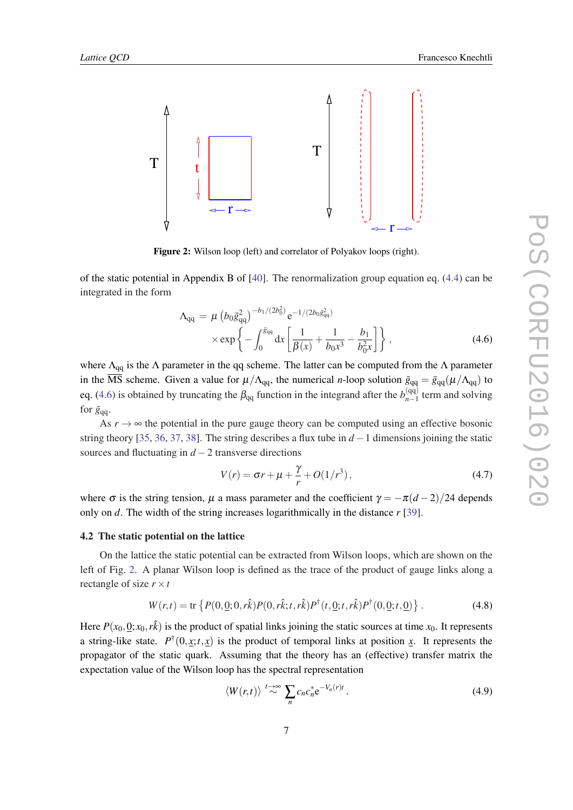<span id="page-7-0"></span>

Figure 2: Wilson loop (left) and correlator of Polyakov loops (right).

of the static potential in Appendix B of [[40\]](#page-14-0). The renormalization group equation eq. [\(4.4](#page-6-0)) can be integrated in the form

$$
\Lambda_{qq} = \mu \left( b_0 \bar{g}_{qq}^2 \right)^{-b_1/(2b_0^2)} e^{-1/(2b_0 \bar{g}_{qq}^2)} \times \exp \left\{ - \int_0^{\bar{g}_{qq}} dx \left[ \frac{1}{\beta(x)} + \frac{1}{b_0 x^3} - \frac{b_1}{b_0^2 x} \right] \right\},
$$
\n(4.6)

where  $\Lambda_{qq}$  is the  $\Lambda$  parameter in the qq scheme. The latter can be computed from the  $\Lambda$  parameter in the  $\overline{MS}$  scheme. Given a value for  $\mu/\Lambda_{qq}$ , the numerical *n*-loop solution  $\bar{g}_{qq} = \bar{g}_{qq}(\mu/\Lambda_{qq})$  to eq. (4.6) is obtained by truncating the  $\beta_{qq}$  function in the integrand after the  $b_{n-1}^{(qq)}$  $\int_{n-1}^{(qq)}$  term and solving for  $\bar{g}_{qq}$ .

As  $r \rightarrow \infty$  the potential in the pure gauge theory can be computed using an effective bosonic string theory [[35,](#page-14-0) [36,](#page-14-0) [37,](#page-14-0) [38\]](#page-14-0). The string describes a flux tube in  $d-1$  dimensions joining the static sources and fluctuating in *d* −2 transverse directions

$$
V(r) = \sigma r + \mu + \frac{\gamma}{r} + O(1/r^3),
$$
\n(4.7)

where  $\sigma$  is the string tension,  $\mu$  a mass parameter and the coefficient  $\gamma = -\pi(d-2)/24$  depends only on *d*. The width of the string increases logarithmically in the distance *r* [[39\]](#page-14-0).

#### 4.2 The static potential on the lattice

On the lattice the static potential can be extracted from Wilson loops, which are shown on the left of Fig. 2. A planar Wilson loop is defined as the trace of the product of gauge links along a rectangle of size  $r \times t$ 

$$
W(r,t) = \text{tr}\left\{P(0,\underline{0};0,r\hat{k})P(0,r\hat{k};t,r\hat{k})P^{\dagger}(t,\underline{0};t,r\hat{k})P^{\dagger}(0,\underline{0};t,\underline{0})\right\}.
$$
 (4.8)

Here  $P(x_0, 0; x_0, r\hat{k})$  is the product of spatial links joining the static sources at time  $x_0$ . It represents a string-like state.  $P^{\dagger}(0, x; t, x)$  is the product of temporal links at position x. It represents the propagator of the static quark. Assuming that the theory has an (effective) transfer matrix the expectation value of the Wilson loop has the spectral representation

$$
\langle W(r,t) \rangle \stackrel{t \to \infty}{\sim} \sum_{n} c_n c_n^* e^{-V_n(r)t} \,. \tag{4.9}
$$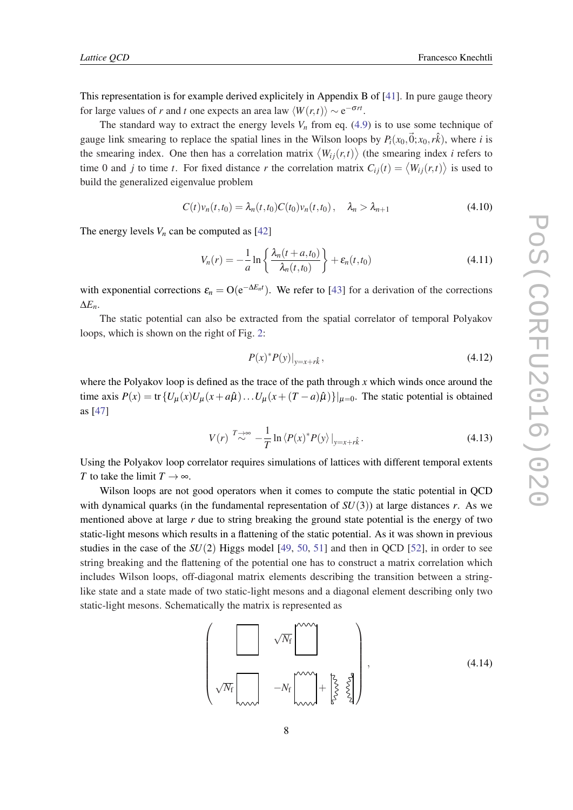<span id="page-8-0"></span>This representation is for example derived explicitely in Appendix B of [[41\]](#page-14-0). In pure gauge theory for large values of *r* and *t* one expects an area law  $\langle W(r,t) \rangle \sim e^{-\sigma rt}$ .

The standard way to extract the energy levels  $V<sub>n</sub>$  from eq. ([4.9](#page-7-0)) is to use some technique of gauge link smearing to replace the spatial lines in the Wilson loops by  $P_i(x_0, \vec{0}; x_0, r\hat{k})$ , where *i* is the smearing index. One then has a correlation matrix  $\langle W_{ij}(r,t) \rangle$  (the smearing index *i* refers to time 0 and *j* to time *t*. For fixed distance *r* the correlation matrix  $C_{ij}(t) = \langle W_{ij}(r,t) \rangle$  is used to build the generalized eigenvalue problem

$$
C(t)v_n(t,t_0) = \lambda_n(t,t_0)C(t_0)v_n(t,t_0), \quad \lambda_n > \lambda_{n+1}
$$
\n(4.10)

The energy levels  $V_n$  can be computed as [[42\]](#page-14-0)

$$
V_n(r) = -\frac{1}{a} \ln \left\{ \frac{\lambda_n(t+a,t_0)}{\lambda_n(t,t_0)} \right\} + \varepsilon_n(t,t_0)
$$
\n(4.11)

with exponential corrections  $\varepsilon_n = O(e^{-\Delta E_n t})$ . We refer to [[43\]](#page-14-0) for a derivation of the corrections ∆*En*.

The static potential can also be extracted from the spatial correlator of temporal Polyakov loops, which is shown on the right of Fig. [2](#page-7-0):

$$
P(x)^* P(y)|_{y=x+r\hat{k}}, \t\t(4.12)
$$

where the Polyakov loop is defined as the trace of the path through *x* which winds once around the time axis  $P(x) = \text{tr} \{ U_\mu(x) U_\mu(x + a\hat{\mu}) \dots U_\mu(x + (T - a)\hat{\mu}) \} |_{\mu=0}$ . The static potential is obtained as [[47\]](#page-14-0)

$$
V(r) \stackrel{T \to \infty}{\sim} -\frac{1}{T} \ln \langle P(x)^* P(y) \, |_{y=x+r\hat{k}}. \tag{4.13}
$$

Using the Polyakov loop correlator requires simulations of lattices with different temporal extents *T* to take the limit  $T \rightarrow \infty$ .

Wilson loops are not good operators when it comes to compute the static potential in QCD with dynamical quarks (in the fundamental representation of  $SU(3)$ ) at large distances *r*. As we mentioned above at large *r* due to string breaking the ground state potential is the energy of two static-light mesons which results in a flattening of the static potential. As it was shown in previous studies in the case of the *SU*(2) Higgs model [[49,](#page-15-0) [50,](#page-15-0) [51\]](#page-15-0) and then in QCD [\[52\]](#page-15-0), in order to see string breaking and the flattening of the potential one has to construct a matrix correlation which includes Wilson loops, off-diagonal matrix elements describing the transition between a stringlike state and a state made of two static-light mesons and a diagonal element describing only two static-light mesons. Schematically the matrix is represented as

$$
\left(\begin{matrix}\sqrt{N_{\rm f}}\end{matrix}\begin{matrix}1 & \sqrt{N_{\rm f}}\end{matrix}\begin{matrix}1 & \sqrt{N_{\rm f}}\end{matrix}\begin{matrix}1 & \sqrt{N_{\rm f}}\end{matrix}\begin{matrix}1 & \sqrt{N_{\rm f}}\end{matrix}\begin{matrix}1 & \sqrt{N_{\rm f}}\end{matrix}\begin{matrix}1 & \sqrt{N_{\rm f}}\end{matrix}\begin{matrix}1 & \sqrt{N_{\rm f}}\end{matrix}\begin{matrix}1 & \sqrt{N_{\rm f}}\end{matrix}\begin{matrix}1 & \sqrt{N_{\rm f}}\end{matrix}\begin{matrix}1 & \sqrt{N_{\rm f}}\end{matrix}\begin{matrix}1 & \sqrt{N_{\rm f}}\end{matrix}\begin{matrix}1 & \sqrt{N_{\rm f}}\end{matrix}\begin{matrix}1 & \sqrt{N_{\rm f}}\end{matrix}\begin{matrix}1 & \sqrt{N_{\rm f}}\end{matrix}\begin{matrix}1 & \sqrt{N_{\rm f}}\end{matrix}\begin{matrix}1 & \sqrt{N_{\rm f}}\end{matrix}\begin{matrix}1 & \sqrt{N_{\rm f}}\end{matrix}\begin{matrix}1 & \sqrt{N_{\rm f}}\end{matrix}\begin{matrix}1 & \sqrt{N_{\rm f}}\end{matrix}\begin{matrix}1 & \sqrt{N_{\rm f}}\end{matrix}\begin{matrix}1 & \sqrt{N_{\rm f}}\end{matrix}\begin{matrix}1 & \sqrt{N_{\rm f}}\end{matrix}\begin{matrix}1 & \sqrt{N_{\rm f}}\end{matrix}\begin{matrix}1 & \sqrt{N_{\rm f}}\end{matrix}\begin{matrix}1 & \sqrt{N_{\rm f}}\end{matrix}\begin{matrix}1 & \sqrt{N_{\rm f}}\end{matrix}\begin{matrix}1 & \sqrt{N_{\rm f}}\end{matrix}\begin{matrix}1 & \sqrt{N_{\rm f}}\end{matrix}\begin{matrix}1 & \sqrt{N_{\rm f}}\end{matrix}\begin{matrix}1 & \sqrt{N_{\rm f}}\end{matrix}\begin{matrix}1 & \sqrt{N_{\rm f}}\end{matrix}\begin{matrix}1 & \sqrt{N_{\rm f}}\end{matrix}\begin{matrix}1 & \sqrt{N_{\rm f}}\end{matrix}\begin{matrix}1 & \sqrt{N_{\rm f}}\end{matrix}\begin{matrix}1 & \sqrt{N_{\rm f}}\end{matrix}\begin{matrix}1 & \sqrt{N_{\rm f}}\end{matrix}\begin{matrix}1 & \sqrt{N_{\rm f}}\end{matrix}\
$$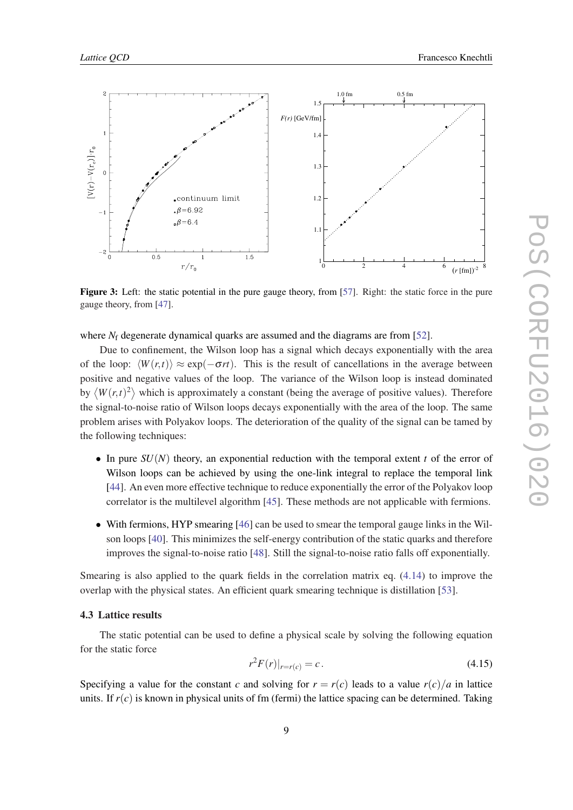<span id="page-9-0"></span>

Figure 3: Left: the static potential in the pure gauge theory, from [\[57](#page-15-0)]. Right: the static force in the pure gauge theory, from [[47](#page-14-0)].

where *N*<sub>f</sub> degenerate dynamical quarks are assumed and the diagrams are from [[52\]](#page-15-0).

Due to confinement, the Wilson loop has a signal which decays exponentially with the area of the loop:  $\langle W(r,t) \rangle \approx \exp(-\sigma rt)$ . This is the result of cancellations in the average between positive and negative values of the loop. The variance of the Wilson loop is instead dominated by  $\langle W(r,t)^2 \rangle$  which is approximately a constant (being the average of positive values). Therefore the signal-to-noise ratio of Wilson loops decays exponentially with the area of the loop. The same problem arises with Polyakov loops. The deterioration of the quality of the signal can be tamed by the following techniques:

- In pure  $SU(N)$  theory, an exponential reduction with the temporal extent *t* of the error of Wilson loops can be achieved by using the one-link integral to replace the temporal link [\[44\]](#page-14-0). An even more effective technique to reduce exponentially the error of the Polyakov loop correlator is the multilevel algorithm [[45\]](#page-14-0). These methods are not applicable with fermions.
- With fermions, HYP smearing [\[46](#page-14-0)] can be used to smear the temporal gauge links in the Wilson loops [[40\]](#page-14-0). This minimizes the self-energy contribution of the static quarks and therefore improves the signal-to-noise ratio [\[48](#page-14-0)]. Still the signal-to-noise ratio falls off exponentially.

Smearing is also applied to the quark fields in the correlation matrix eq. [\(4.14](#page-8-0)) to improve the overlap with the physical states. An efficient quark smearing technique is distillation [[53\]](#page-15-0).

## 4.3 Lattice results

The static potential can be used to define a physical scale by solving the following equation for the static force

$$
r^2 F(r)|_{r=r(c)} = c.
$$
\n(4.15)

Specifying a value for the constant *c* and solving for  $r = r(c)$  leads to a value  $r(c)/a$  in lattice units. If  $r(c)$  is known in physical units of fm (fermi) the lattice spacing can be determined. Taking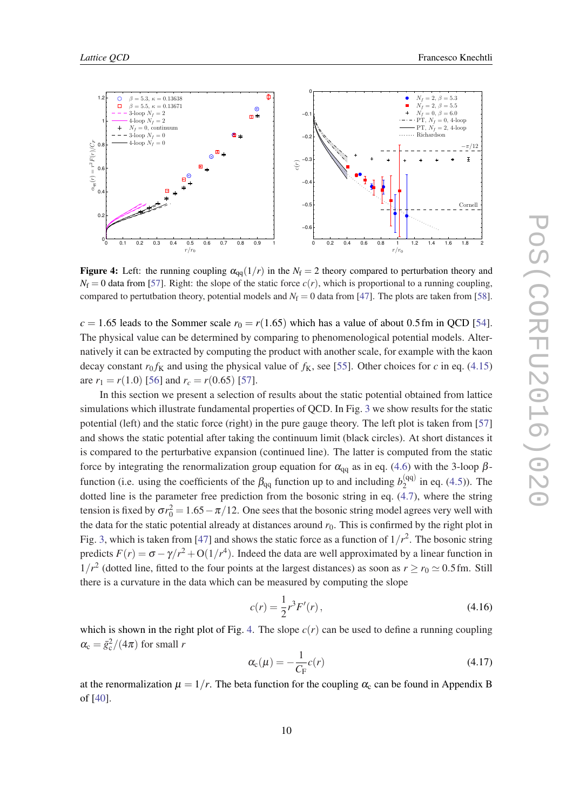<span id="page-10-0"></span>

Figure 4: Left: the running coupling  $\alpha_{qq}(1/r)$  in the  $N_f = 2$  theory compared to perturbation theory and  $N_f = 0$  data from [[57\]](#page-15-0). Right: the slope of the static force  $c(r)$ , which is proportional to a running coupling, compared to pertutbation theory, potential models and  $N_f = 0$  data from [[47\]](#page-14-0). The plots are taken from [\[58](#page-15-0)].

 $c = 1.65$  leads to the Sommer scale  $r_0 = r(1.65)$  which has a value of about 0.5 fm in QCD [[54\]](#page-15-0). The physical value can be determined by comparing to phenomenological potential models. Alternatively it can be extracted by computing the product with another scale, for example with the kaon decay constant  $r_0 f_K$  and using the physical value of  $f_K$ , see [\[55](#page-15-0)]. Other choices for *c* in eq. [\(4.15](#page-9-0)) are  $r_1 = r(1.0)$  [[56\]](#page-15-0) and  $r_c = r(0.65)$  [[57\]](#page-15-0).

In this section we present a selection of results about the static potential obtained from lattice simulations which illustrate fundamental properties of QCD. In Fig. [3](#page-9-0) we show results for the static potential (left) and the static force (right) in the pure gauge theory. The left plot is taken from [\[57](#page-15-0)] and shows the static potential after taking the continuum limit (black circles). At short distances it is compared to the perturbative expansion (continued line). The latter is computed from the static force by integrating the renormalization group equation for  $\alpha_{qq}$  as in eq. ([4.6](#page-7-0)) with the 3-loop  $\beta$ function (i.e. using the coefficients of the  $\beta_{qq}$  function up to and including  $b_2^{(qq)}$  $2^{(qq)}$  in eq. [\(4.5\)](#page-6-0)). The dotted line is the parameter free prediction from the bosonic string in eq. [\(4.7](#page-7-0)), where the string tension is fixed by  $\sigma r_0^2 = 1.65 - \pi/12$ . One sees that the bosonic string model agrees very well with the data for the static potential already at distances around  $r<sub>0</sub>$ . This is confirmed by the right plot in Fig. [3](#page-9-0), which is taken from [[47\]](#page-14-0) and shows the static force as a function of  $1/r^2$ . The bosonic string predicts  $F(r) = \sigma - \gamma/r^2 + O(1/r^4)$ . Indeed the data are well approximated by a linear function in  $1/r^2$  (dotted line, fitted to the four points at the largest distances) as soon as  $r \ge r_0 \approx 0.5$  fm. Still there is a curvature in the data which can be measured by computing the slope

$$
c(r) = \frac{1}{2}r^3 F'(r),
$$
\n(4.16)

which is shown in the right plot of Fig. 4. The slope  $c(r)$  can be used to define a running coupling  $\alpha_{\rm c} = \bar{g}_{\rm c}^2/(4\pi)$  for small *r* 

$$
\alpha_{\rm c}(\mu) = -\frac{1}{C_{\rm F}}c(r) \tag{4.17}
$$

at the renormalization  $\mu = 1/r$ . The beta function for the coupling  $\alpha_c$  can be found in Appendix B of [[40\]](#page-14-0).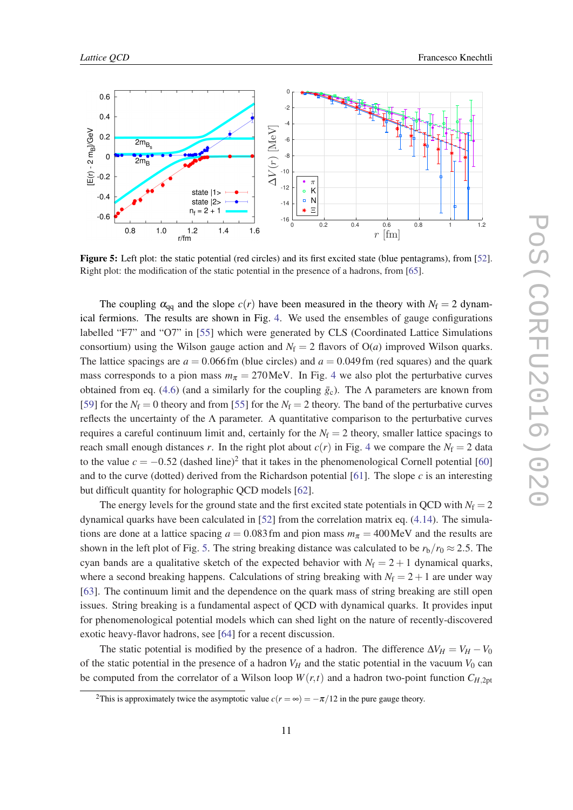<span id="page-11-0"></span>

Figure 5: Left plot: the static potential (red circles) and its first excited state (blue pentagrams), from [\[52](#page-15-0)]. Right plot: the modification of the static potential in the presence of a hadrons, from [[65\]](#page-16-0).

The coupling  $\alpha_{qq}$  and the slope  $c(r)$  have been measured in the theory with  $N_f = 2$  dynamical fermions. The results are shown in Fig. [4.](#page-10-0) We used the ensembles of gauge configurations labelled "F7" and "O7" in [[55\]](#page-15-0) which were generated by CLS (Coordinated Lattice Simulations consortium) using the Wilson gauge action and  $N_f = 2$  flavors of  $O(a)$  improved Wilson quarks. The lattice spacings are  $a = 0.066$  fm (blue circles) and  $a = 0.049$  fm (red squares) and the quark mass corresponds to a pion mass  $m<sub>\pi</sub> = 270$  MeV. In Fig. [4](#page-10-0) we also plot the perturbative curves obtained from eq. ([4.6\)](#page-7-0) (and a similarly for the coupling  $\bar{g}_c$ ). The  $\Lambda$  parameters are known from [[59\]](#page-15-0) for the  $N_f = 0$  theory and from [[55\]](#page-15-0) for the  $N_f = 2$  theory. The band of the perturbative curves reflects the uncertainty of the  $\Lambda$  parameter. A quantitative comparison to the perturbative curves requires a careful continuum limit and, certainly for the  $N_f = 2$  theory, smaller lattice spacings to reach small enough distances *r*. In the right plot about  $c(r)$  in Fig. [4](#page-10-0) we compare the  $N_f = 2$  data to the value  $c = -0.52$  (dashed line)<sup>2</sup> that it takes in the phenomenological Cornell potential [\[60](#page-15-0)] and to the curve (dotted) derived from the Richardson potential [\[61](#page-15-0)]. The slope *c* is an interesting but difficult quantity for holographic QCD models [\[62](#page-15-0)].

The energy levels for the ground state and the first excited state potentials in QCD with  $N_f = 2$ dynamical quarks have been calculated in [[52\]](#page-15-0) from the correlation matrix eq. [\(4.14](#page-8-0)). The simulations are done at a lattice spacing  $a = 0.083$  fm and pion mass  $m<sub>\pi</sub> = 400$  MeV and the results are shown in the left plot of Fig. 5. The string breaking distance was calculated to be  $r_b/r_0 \approx 2.5$ . The cyan bands are a qualitative sketch of the expected behavior with  $N_f = 2 + 1$  dynamical quarks, where a second breaking happens. Calculations of string breaking with  $N_f = 2 + 1$  are under way [[63\]](#page-15-0). The continuum limit and the dependence on the quark mass of string breaking are still open issues. String breaking is a fundamental aspect of QCD with dynamical quarks. It provides input for phenomenological potential models which can shed light on the nature of recently-discovered exotic heavy-flavor hadrons, see [\[64\]](#page-15-0) for a recent discussion.

The static potential is modified by the presence of a hadron. The difference  $\Delta V_H = V_H - V_0$ of the static potential in the presence of a hadron  $V_H$  and the static potential in the vacuum  $V_0$  can be computed from the correlator of a Wilson loop  $W(r,t)$  and a hadron two-point function  $C_{H,2pt}$ 

<sup>&</sup>lt;sup>2</sup>This is approximately twice the asymptotic value  $c(r = \infty) = -\pi/12$  in the pure gauge theory.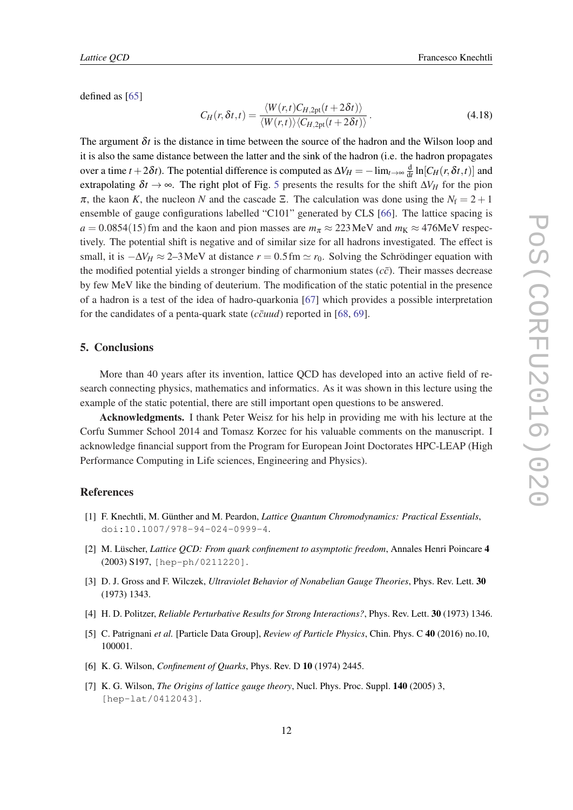<span id="page-12-0"></span>defined as [[65\]](#page-16-0)

$$
C_H(r, \delta t, t) = \frac{\langle W(r, t)C_{H, 2pt}(t+2\delta t)\rangle}{\langle W(r, t)\rangle \langle C_{H, 2pt}(t+2\delta t)\rangle}.
$$
\n(4.18)

The argument  $\delta t$  is the distance in time between the source of the hadron and the Wilson loop and it is also the same distance between the latter and the sink of the hadron (i.e. the hadron propagates over a time  $t + 2\delta t$ ). The potential difference is computed as  $\Delta V_H = -\lim_{t\to\infty} \frac{d}{dt} \ln [C_H(r,\delta t,t)]$  and extrapolating  $\delta t \to \infty$ . The right plot of Fig. [5](#page-11-0) presents the results for the shift  $\Delta V_H$  for the pion  $\pi$ , the kaon *K*, the nucleon *N* and the cascade Ξ. The calculation was done using the  $N_f = 2 + 1$ ensemble of gauge configurations labelled "C101" generated by CLS [[66\]](#page-16-0). The lattice spacing is  $a = 0.0854(15)$  fm and the kaon and pion masses are  $m_\pi \approx 223$  MeV and  $m_K \approx 476$ MeV respectively. The potential shift is negative and of similar size for all hadrons investigated. The effect is small, it is  $-\Delta V_H \approx 2-3$  MeV at distance  $r = 0.5$  fm  $\simeq r_0$ . Solving the Schrödinger equation with the modified potential yields a stronger binding of charmonium states  $(c\bar{c})$ . Their masses decrease by few MeV like the binding of deuterium. The modification of the static potential in the presence of a hadron is a test of the idea of hadro-quarkonia [\[67](#page-16-0)] which provides a possible interpretation for the candidates of a penta-quark state  $(c\bar{c}uud)$  reported in [\[68,](#page-16-0) [69](#page-16-0)].

#### 5. Conclusions

More than 40 years after its invention, lattice QCD has developed into an active field of research connecting physics, mathematics and informatics. As it was shown in this lecture using the example of the static potential, there are still important open questions to be answered.

Acknowledgments. I thank Peter Weisz for his help in providing me with his lecture at the Corfu Summer School 2014 and Tomasz Korzec for his valuable comments on the manuscript. I acknowledge financial support from the Program for European Joint Doctorates HPC-LEAP (High Performance Computing in Life sciences, Engineering and Physics).

# References

- [1] F. Knechtli, M. Günther and M. Peardon, *Lattice Quantum Chromodynamics: Practical Essentials*, doi:10.1007/978-94-024-0999-4.
- [2] M. Lüscher, *Lattice QCD: From quark confinement to asymptotic freedom*, Annales Henri Poincare 4 (2003) S197, [hep-ph/0211220].
- [3] D. J. Gross and F. Wilczek, *Ultraviolet Behavior of Nonabelian Gauge Theories*, Phys. Rev. Lett. 30 (1973) 1343.
- [4] H. D. Politzer, *Reliable Perturbative Results for Strong Interactions?*, Phys. Rev. Lett. 30 (1973) 1346.
- [5] C. Patrignani *et al.* [Particle Data Group], *Review of Particle Physics*, Chin. Phys. C 40 (2016) no.10, 100001.
- [6] K. G. Wilson, *Confinement of Quarks*, Phys. Rev. D 10 (1974) 2445.
- [7] K. G. Wilson, *The Origins of lattice gauge theory*, Nucl. Phys. Proc. Suppl. 140 (2005) 3, [hep-lat/0412043].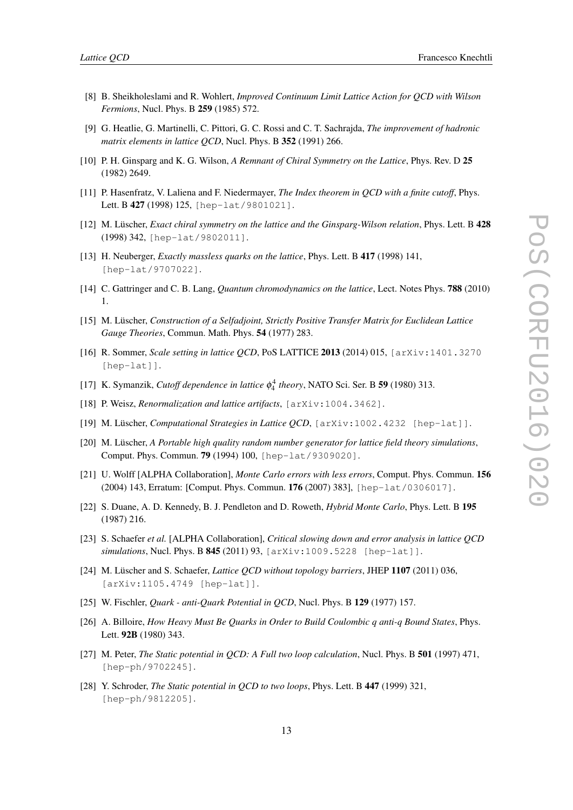- <span id="page-13-0"></span>[8] B. Sheikholeslami and R. Wohlert, *Improved Continuum Limit Lattice Action for QCD with Wilson Fermions*, Nucl. Phys. B 259 (1985) 572.
- [9] G. Heatlie, G. Martinelli, C. Pittori, G. C. Rossi and C. T. Sachrajda, *The improvement of hadronic matrix elements in lattice QCD*, Nucl. Phys. B 352 (1991) 266.
- [10] P. H. Ginsparg and K. G. Wilson, *A Remnant of Chiral Symmetry on the Lattice*, Phys. Rev. D 25 (1982) 2649.
- [11] P. Hasenfratz, V. Laliena and F. Niedermayer, *The Index theorem in QCD with a finite cutoff*, Phys. Lett. B 427 (1998) 125, [hep-lat/9801021].
- [12] M. Lüscher, *Exact chiral symmetry on the lattice and the Ginsparg-Wilson relation*, Phys. Lett. B 428 (1998) 342, [hep-lat/9802011].
- [13] H. Neuberger, *Exactly massless quarks on the lattice*, Phys. Lett. B 417 (1998) 141, [hep-lat/9707022].
- [14] C. Gattringer and C. B. Lang, *Quantum chromodynamics on the lattice*, Lect. Notes Phys. 788 (2010) 1.
- [15] M. Lüscher, *Construction of a Selfadjoint, Strictly Positive Transfer Matrix for Euclidean Lattice Gauge Theories*, Commun. Math. Phys. 54 (1977) 283.
- [16] R. Sommer, *Scale setting in lattice QCD*, PoS LATTICE 2013 (2014) 015, [arXiv:1401.3270 [hep-lat]].
- [17] K. Symanzik, *Cutoff dependence in lattice* φ 4 4 *theory*, NATO Sci. Ser. B 59 (1980) 313.
- [18] P. Weisz, *Renormalization and lattice artifacts*, [arXiv:1004.3462].
- [19] M. Lüscher, *Computational Strategies in Lattice QCD*, [arXiv:1002.4232 [hep-lat]].
- [20] M. Lüscher, *A Portable high quality random number generator for lattice field theory simulations*, Comput. Phys. Commun. 79 (1994) 100, [hep-lat/9309020].
- [21] U. Wolff [ALPHA Collaboration], *Monte Carlo errors with less errors*, Comput. Phys. Commun. 156 (2004) 143, Erratum: [Comput. Phys. Commun. 176 (2007) 383], [hep-lat/0306017].
- [22] S. Duane, A. D. Kennedy, B. J. Pendleton and D. Roweth, *Hybrid Monte Carlo*, Phys. Lett. B 195 (1987) 216.
- [23] S. Schaefer *et al.* [ALPHA Collaboration], *Critical slowing down and error analysis in lattice QCD simulations*, Nucl. Phys. B 845 (2011) 93, [arXiv:1009.5228 [hep-lat]].
- [24] M. Lüscher and S. Schaefer, *Lattice QCD without topology barriers*, JHEP 1107 (2011) 036, [arXiv:1105.4749 [hep-lat]].
- [25] W. Fischler, *Quark anti-Quark Potential in QCD*, Nucl. Phys. B 129 (1977) 157.
- [26] A. Billoire, *How Heavy Must Be Quarks in Order to Build Coulombic q anti-q Bound States*, Phys. Lett. 92B (1980) 343.
- [27] M. Peter, *The Static potential in QCD: A Full two loop calculation*, Nucl. Phys. B 501 (1997) 471, [hep-ph/9702245].
- [28] Y. Schroder, *The Static potential in QCD to two loops*, Phys. Lett. B 447 (1999) 321, [hep-ph/9812205].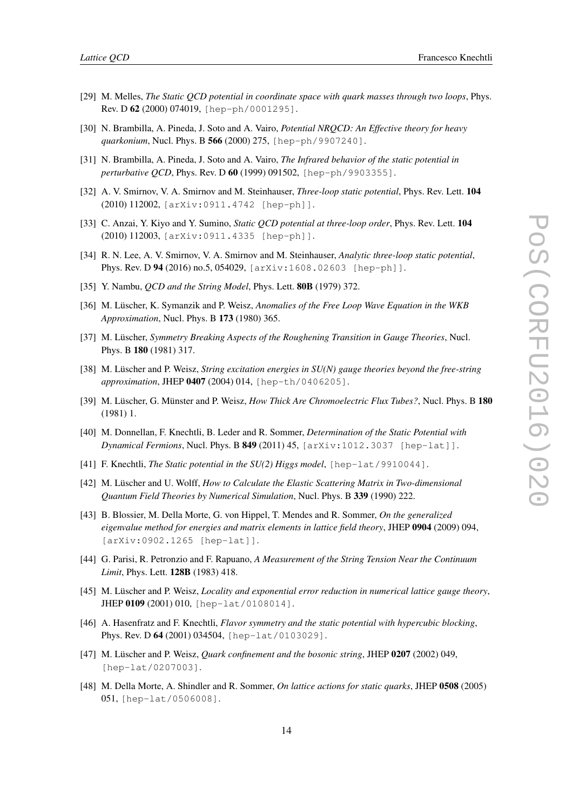- <span id="page-14-0"></span>[29] M. Melles, *The Static QCD potential in coordinate space with quark masses through two loops*, Phys. Rev. D 62 (2000) 074019, [hep-ph/0001295].
- [30] N. Brambilla, A. Pineda, J. Soto and A. Vairo, *Potential NRQCD: An Effective theory for heavy quarkonium*, Nucl. Phys. B 566 (2000) 275, [hep-ph/9907240].
- [31] N. Brambilla, A. Pineda, J. Soto and A. Vairo, *The Infrared behavior of the static potential in perturbative QCD*, Phys. Rev. D 60 (1999) 091502, [hep-ph/9903355].
- [32] A. V. Smirnov, V. A. Smirnov and M. Steinhauser, *Three-loop static potential*, Phys. Rev. Lett. 104 (2010) 112002, [arXiv:0911.4742 [hep-ph]].
- [33] C. Anzai, Y. Kiyo and Y. Sumino, *Static QCD potential at three-loop order*, Phys. Rev. Lett. 104 (2010) 112003, [arXiv:0911.4335 [hep-ph]].
- [34] R. N. Lee, A. V. Smirnov, V. A. Smirnov and M. Steinhauser, *Analytic three-loop static potential*, Phys. Rev. D 94 (2016) no.5, 054029, [arXiv:1608.02603 [hep-ph]].
- [35] Y. Nambu, *QCD and the String Model*, Phys. Lett. 80B (1979) 372.
- [36] M. Lüscher, K. Symanzik and P. Weisz, *Anomalies of the Free Loop Wave Equation in the WKB Approximation*, Nucl. Phys. B 173 (1980) 365.
- [37] M. Lüscher, *Symmetry Breaking Aspects of the Roughening Transition in Gauge Theories*, Nucl. Phys. B 180 (1981) 317.
- [38] M. Lüscher and P. Weisz, *String excitation energies in SU(N) gauge theories beyond the free-string approximation*, JHEP 0407 (2004) 014, [hep-th/0406205].
- [39] M. Lüscher, G. Münster and P. Weisz, *How Thick Are Chromoelectric Flux Tubes?*, Nucl. Phys. B 180 (1981) 1.
- [40] M. Donnellan, F. Knechtli, B. Leder and R. Sommer, *Determination of the Static Potential with Dynamical Fermions*, Nucl. Phys. B 849 (2011) 45, [arXiv:1012.3037 [hep-lat]].
- [41] F. Knechtli, *The Static potential in the SU(2) Higgs model*, [hep-lat/9910044].
- [42] M. Lüscher and U. Wolff, *How to Calculate the Elastic Scattering Matrix in Two-dimensional Quantum Field Theories by Numerical Simulation*, Nucl. Phys. B 339 (1990) 222.
- [43] B. Blossier, M. Della Morte, G. von Hippel, T. Mendes and R. Sommer, *On the generalized eigenvalue method for energies and matrix elements in lattice field theory*, JHEP 0904 (2009) 094, [arXiv:0902.1265 [hep-lat]].
- [44] G. Parisi, R. Petronzio and F. Rapuano, *A Measurement of the String Tension Near the Continuum Limit*, Phys. Lett. 128B (1983) 418.
- [45] M. Lüscher and P. Weisz, *Locality and exponential error reduction in numerical lattice gauge theory*, JHEP 0109 (2001) 010, [hep-lat/0108014].
- [46] A. Hasenfratz and F. Knechtli, *Flavor symmetry and the static potential with hypercubic blocking*, Phys. Rev. D 64 (2001) 034504, [hep-lat/0103029].
- [47] M. Lüscher and P. Weisz, *Quark confinement and the bosonic string*, JHEP 0207 (2002) 049, [hep-lat/0207003].
- [48] M. Della Morte, A. Shindler and R. Sommer, *On lattice actions for static quarks*, JHEP 0508 (2005) 051, [hep-lat/0506008].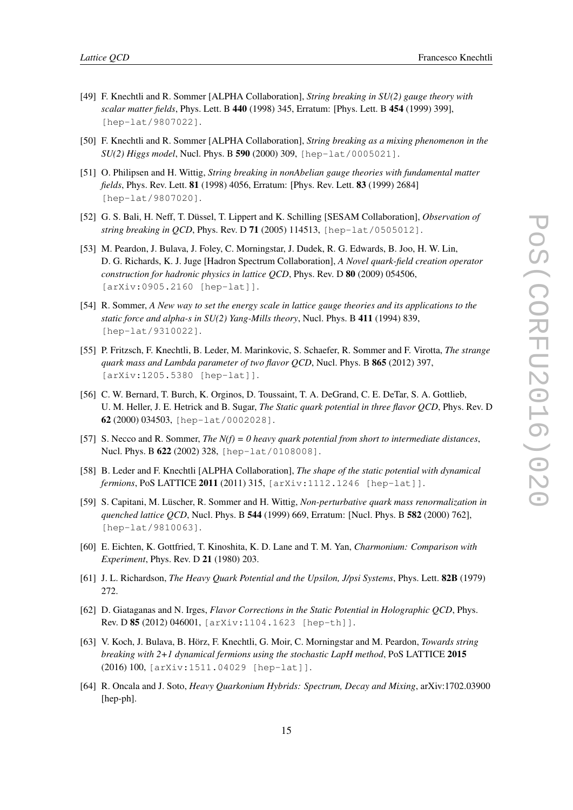- <span id="page-15-0"></span>[49] F. Knechtli and R. Sommer [ALPHA Collaboration], *String breaking in SU(2) gauge theory with scalar matter fields*, Phys. Lett. B 440 (1998) 345, Erratum: [Phys. Lett. B 454 (1999) 399], [hep-lat/9807022].
- [50] F. Knechtli and R. Sommer [ALPHA Collaboration], *String breaking as a mixing phenomenon in the SU(2) Higgs model*, Nucl. Phys. B 590 (2000) 309, [hep-lat/0005021].
- [51] O. Philipsen and H. Wittig, *String breaking in nonAbelian gauge theories with fundamental matter fields*, Phys. Rev. Lett. 81 (1998) 4056, Erratum: [Phys. Rev. Lett. 83 (1999) 2684] [hep-lat/9807020].
- [52] G. S. Bali, H. Neff, T. Düssel, T. Lippert and K. Schilling [SESAM Collaboration], *Observation of string breaking in QCD*, Phys. Rev. D 71 (2005) 114513, [hep-lat/0505012].
- [53] M. Peardon, J. Bulava, J. Foley, C. Morningstar, J. Dudek, R. G. Edwards, B. Joo, H. W. Lin, D. G. Richards, K. J. Juge [Hadron Spectrum Collaboration], *A Novel quark-field creation operator construction for hadronic physics in lattice QCD*, Phys. Rev. D 80 (2009) 054506, [arXiv:0905.2160 [hep-lat]].
- [54] R. Sommer, *A New way to set the energy scale in lattice gauge theories and its applications to the static force and alpha-s in SU(2) Yang-Mills theory*, Nucl. Phys. B 411 (1994) 839, [hep-lat/9310022].
- [55] P. Fritzsch, F. Knechtli, B. Leder, M. Marinkovic, S. Schaefer, R. Sommer and F. Virotta, *The strange quark mass and Lambda parameter of two flavor QCD*, Nucl. Phys. B 865 (2012) 397, [arXiv:1205.5380 [hep-lat]].
- [56] C. W. Bernard, T. Burch, K. Orginos, D. Toussaint, T. A. DeGrand, C. E. DeTar, S. A. Gottlieb, U. M. Heller, J. E. Hetrick and B. Sugar, *The Static quark potential in three flavor QCD*, Phys. Rev. D 62 (2000) 034503, [hep-lat/0002028].
- [57] S. Necco and R. Sommer, *The N(f) = 0 heavy quark potential from short to intermediate distances*, Nucl. Phys. B 622 (2002) 328, [hep-lat/0108008].
- [58] B. Leder and F. Knechtli [ALPHA Collaboration], *The shape of the static potential with dynamical fermions*, PoS LATTICE 2011 (2011) 315, [arXiv:1112.1246 [hep-lat]].
- [59] S. Capitani, M. Lüscher, R. Sommer and H. Wittig, *Non-perturbative quark mass renormalization in quenched lattice QCD*, Nucl. Phys. B 544 (1999) 669, Erratum: [Nucl. Phys. B 582 (2000) 762], [hep-lat/9810063].
- [60] E. Eichten, K. Gottfried, T. Kinoshita, K. D. Lane and T. M. Yan, *Charmonium: Comparison with Experiment*, Phys. Rev. D 21 (1980) 203.
- [61] J. L. Richardson, *The Heavy Quark Potential and the Upsilon, J/psi Systems*, Phys. Lett. 82B (1979) 272.
- [62] D. Giataganas and N. Irges, *Flavor Corrections in the Static Potential in Holographic QCD*, Phys. Rev. D 85 (2012) 046001, [arXiv:1104.1623 [hep-th]].
- [63] V. Koch, J. Bulava, B. Hörz, F. Knechtli, G. Moir, C. Morningstar and M. Peardon, *Towards string breaking with 2+1 dynamical fermions using the stochastic LapH method*, PoS LATTICE 2015 (2016) 100, [arXiv:1511.04029 [hep-lat]].
- [64] R. Oncala and J. Soto, *Heavy Quarkonium Hybrids: Spectrum, Decay and Mixing*, arXiv:1702.03900 [hep-ph].